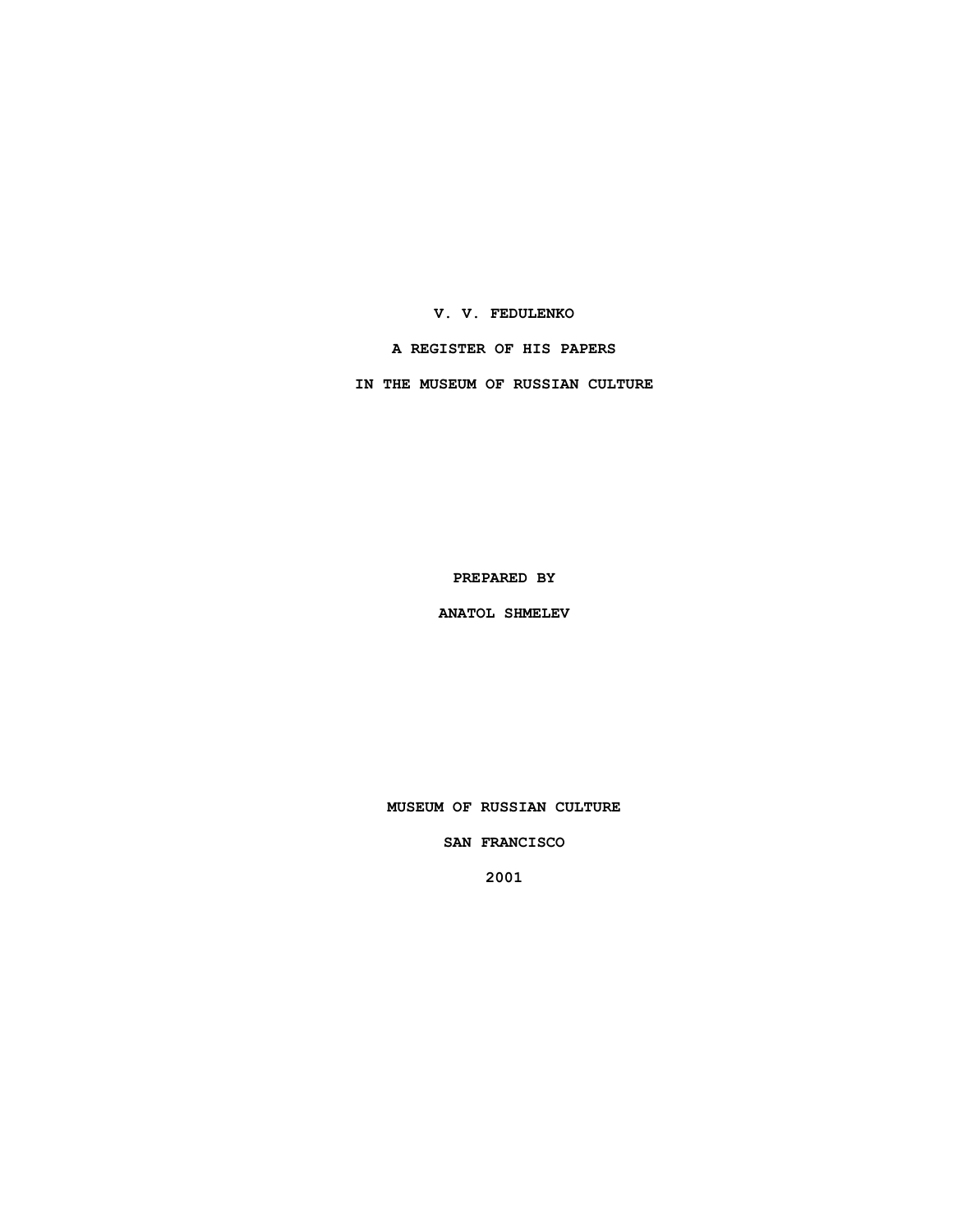**V. V. FEDULENKO**

**A REGISTER OF HIS PAPERS**

**IN THE MUSEUM OF RUSSIAN CULTURE**

**PREPARED BY**

**ANATOL SHMELEV**

**MUSEUM OF RUSSIAN CULTURE**

**SAN FRANCISCO**

**2001**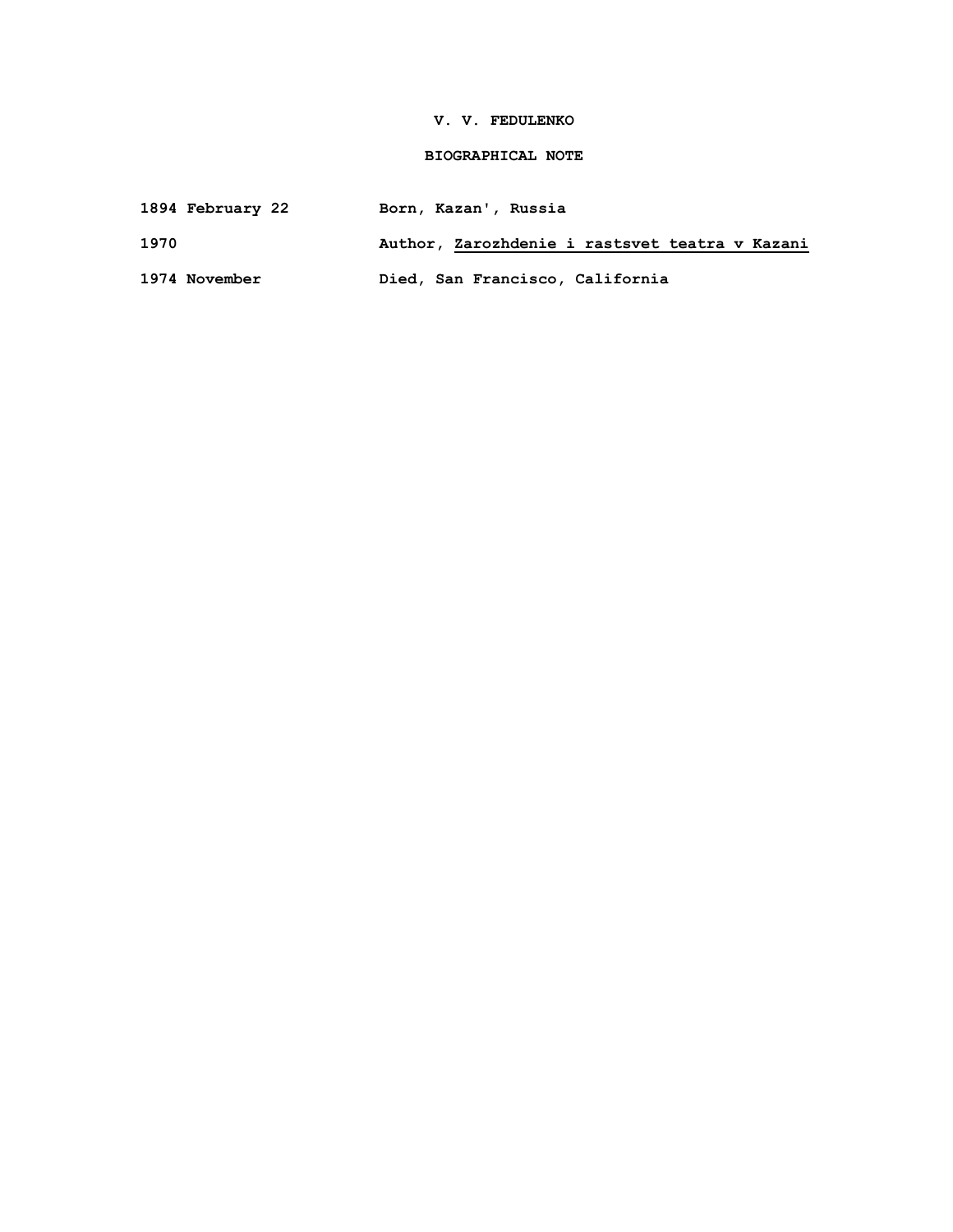### **V. V. FEDULENKO**

## **BIOGRAPHICAL NOTE**

| 1894 February 22 | Born, Kazan', Russia |  |
|------------------|----------------------|--|
|------------------|----------------------|--|

**1970 Author, Zarozhdenie i rastsvet teatra v Kazani**

**1974 November Died, San Francisco, California**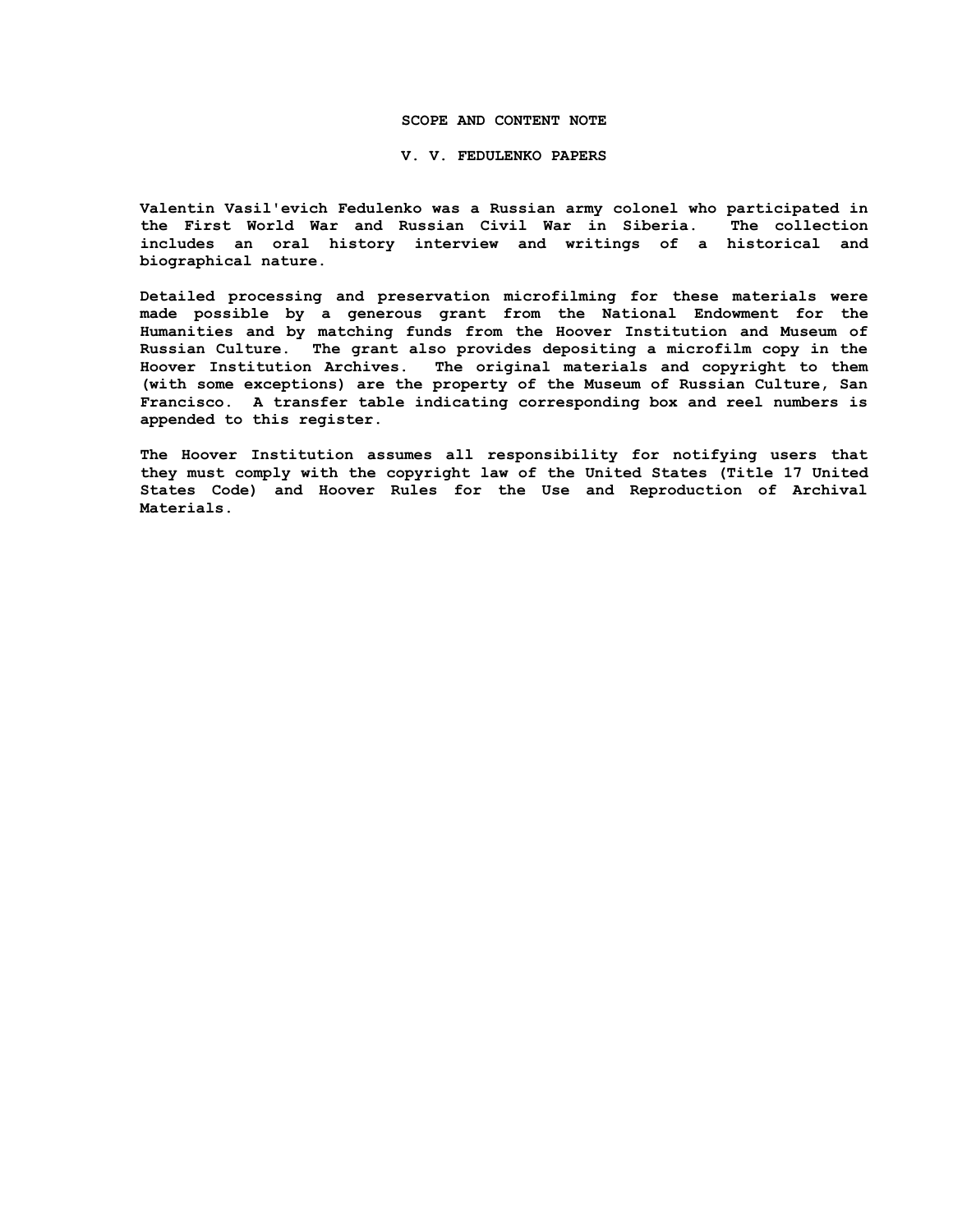#### **SCOPE AND CONTENT NOTE**

#### **V. V. FEDULENKO PAPERS**

**Valentin Vasil'evich Fedulenko was a Russian army colonel who participated in the First World War and Russian Civil War in Siberia. The collection includes an oral history interview and writings of a historical and biographical nature.**

**Detailed processing and preservation microfilming for these materials were made possible by a generous grant from the National Endowment for the Humanities and by matching funds from the Hoover Institution and Museum of Russian Culture. The grant also provides depositing a microfilm copy in the Hoover Institution Archives. The original materials and copyright to them (with some exceptions) are the property of the Museum of Russian Culture, San Francisco. A transfer table indicating corresponding box and reel numbers is appended to this register.**

**The Hoover Institution assumes all responsibility for notifying users that they must comply with the copyright law of the United States (Title 17 United States Code) and Hoover Rules for the Use and Reproduction of Archival Materials.**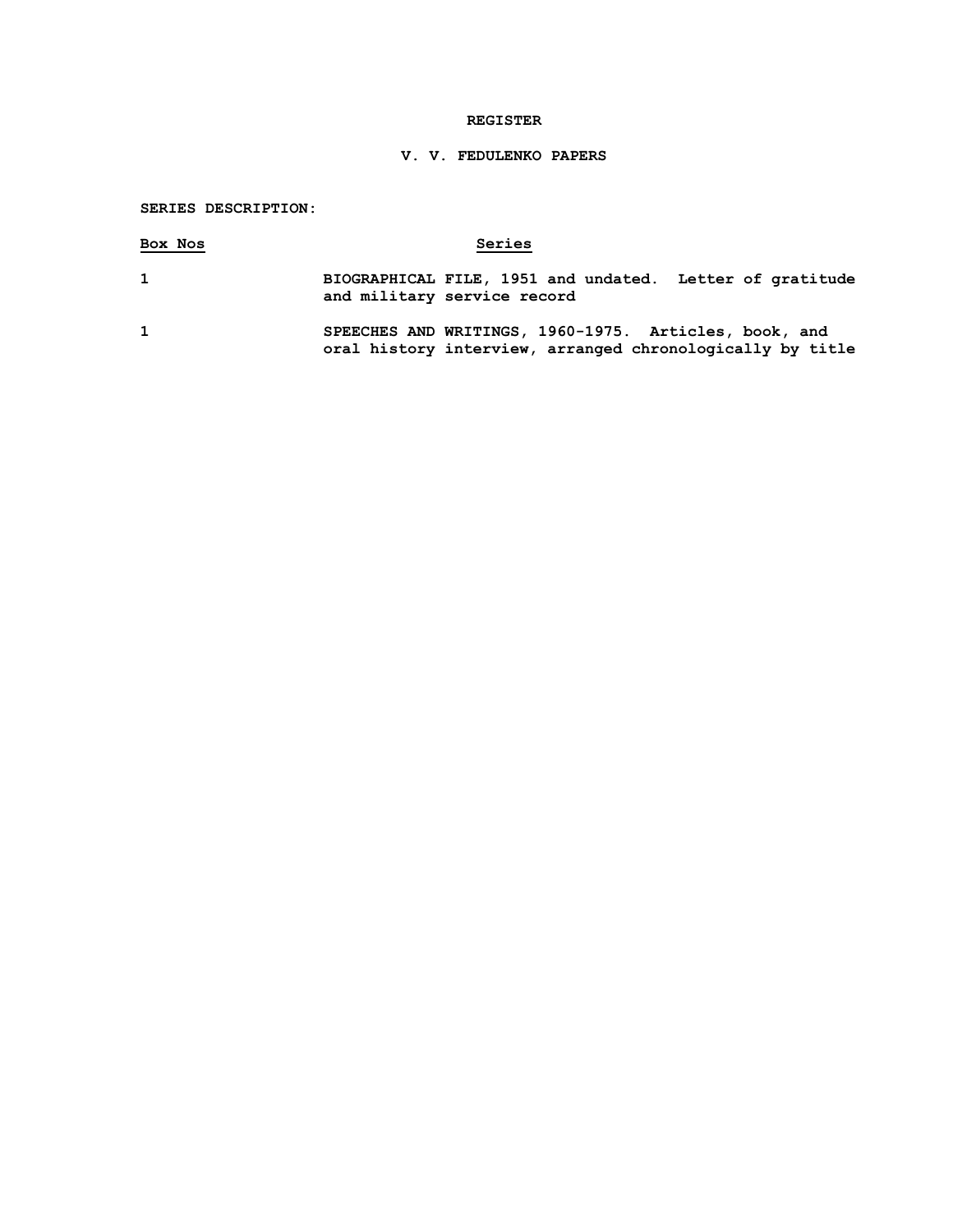### **REGISTER**

# **V. V. FEDULENKO PAPERS**

# **SERIES DESCRIPTION:**

| Box Nos      | Series                                                                                                             |
|--------------|--------------------------------------------------------------------------------------------------------------------|
| $\mathbf{1}$ | BIOGRAPHICAL FILE, 1951 and undated. Letter of gratitude<br>and military service record                            |
| $\mathbf{1}$ | SPEECHES AND WRITINGS, 1960-1975. Articles, book, and<br>oral history interview, arranged chronologically by title |